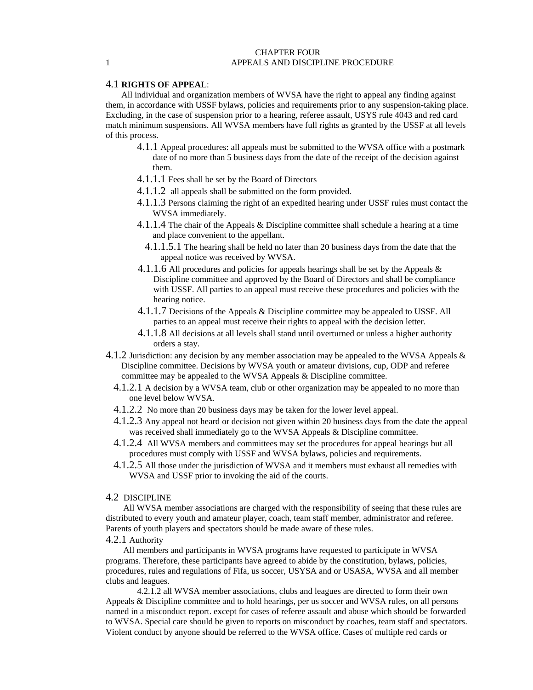#### CHAPTER FOUR 1 APPEALS AND DISCIPLINE PROCEDURE

### 4.1 **RIGHTS OF APPEAL**:

All individual and organization members of WVSA have the right to appeal any finding against them, in accordance with USSF bylaws, policies and requirements prior to any suspension-taking place. Excluding, in the case of suspension prior to a hearing, referee assault, USYS rule 4043 and red card match minimum suspensions. All WVSA members have full rights as granted by the USSF at all levels of this process.

- 4.1.1 Appeal procedures: all appeals must be submitted to the WVSA office with a postmark date of no more than 5 business days from the date of the receipt of the decision against them.
- 4.1.1.1 Fees shall be set by the Board of Directors
- 4.1.1.2 all appeals shall be submitted on the form provided.
- 4.1.1.3 Persons claiming the right of an expedited hearing under USSF rules must contact the WVSA immediately.
- 4.1.1.4 The chair of the Appeals & Discipline committee shall schedule a hearing at a time and place convenient to the appellant.
	- 4.1.1.5.1 The hearing shall be held no later than 20 business days from the date that the appeal notice was received by WVSA.
- 4.1.1.6 All procedures and policies for appeals hearings shall be set by the Appeals  $\&$ Discipline committee and approved by the Board of Directors and shall be compliance with USSF. All parties to an appeal must receive these procedures and policies with the hearing notice.
- 4.1.1.7 Decisions of the Appeals & Discipline committee may be appealed to USSF. All parties to an appeal must receive their rights to appeal with the decision letter.
- 4.1.1.8 All decisions at all levels shall stand until overturned or unless a higher authority orders a stay.
- 4.1.2 Jurisdiction: any decision by any member association may be appealed to the WVSA Appeals & Discipline committee. Decisions by WVSA youth or amateur divisions, cup, ODP and referee committee may be appealed to the WVSA Appeals & Discipline committee.
	- 4.1.2.1 A decision by a WVSA team, club or other organization may be appealed to no more than one level below WVSA.
	- 4.1.2.2 No more than 20 business days may be taken for the lower level appeal.
	- 4.1.2.3 Any appeal not heard or decision not given within 20 business days from the date the appeal was received shall immediately go to the WVSA Appeals & Discipline committee.
	- 4.1.2.4 All WVSA members and committees may set the procedures for appeal hearings but all procedures must comply with USSF and WVSA bylaws, policies and requirements.
	- 4.1.2.5 All those under the jurisdiction of WVSA and it members must exhaust all remedies with WVSA and USSF prior to invoking the aid of the courts.

# 4.2 DISCIPLINE

 All WVSA member associations are charged with the responsibility of seeing that these rules are distributed to every youth and amateur player, coach, team staff member, administrator and referee. Parents of youth players and spectators should be made aware of these rules.

# 4.2.1 Authority

 All members and participants in WVSA programs have requested to participate in WVSA programs. Therefore, these participants have agreed to abide by the constitution, bylaws, policies, procedures, rules and regulations of Fifa, us soccer, USYSA and or USASA, WVSA and all member clubs and leagues.

4.2.1.2 all WVSA member associations, clubs and leagues are directed to form their own Appeals & Discipline committee and to hold hearings, per us soccer and WVSA rules, on all persons named in a misconduct report. except for cases of referee assault and abuse which should be forwarded to WVSA. Special care should be given to reports on misconduct by coaches, team staff and spectators. Violent conduct by anyone should be referred to the WVSA office. Cases of multiple red cards or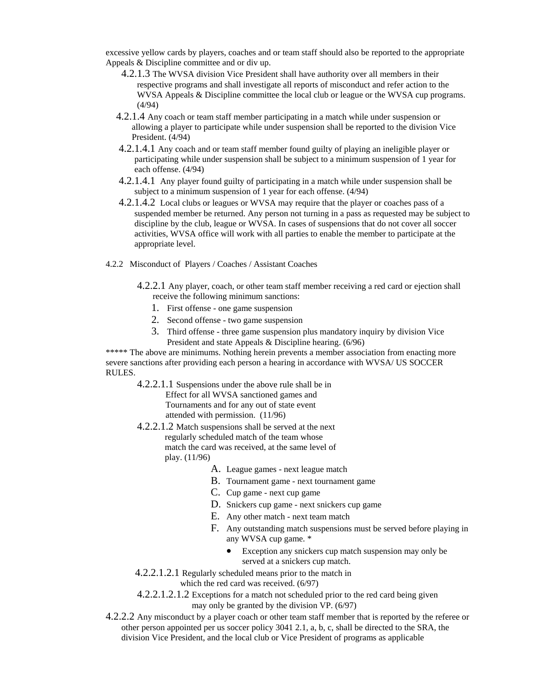excessive yellow cards by players, coaches and or team staff should also be reported to the appropriate Appeals & Discipline committee and or div up.

- 4.2.1.3 The WVSA division Vice President shall have authority over all members in their respective programs and shall investigate all reports of misconduct and refer action to the WVSA Appeals & Discipline committee the local club or league or the WVSA cup programs. (4/94)
- 4.2.1.4 Any coach or team staff member participating in a match while under suspension or allowing a player to participate while under suspension shall be reported to the division Vice President. (4/94)
- 4.2.1.4.1 Any coach and or team staff member found guilty of playing an ineligible player or participating while under suspension shall be subject to a minimum suspension of 1 year for each offense. (4/94)
- 4.2.1.4.1 Any player found guilty of participating in a match while under suspension shall be subject to a minimum suspension of 1 year for each offense. (4/94)
- 4.2.1.4.2 Local clubs or leagues or WVSA may require that the player or coaches pass of a suspended member be returned. Any person not turning in a pass as requested may be subject to discipline by the club, league or WVSA. In cases of suspensions that do not cover all soccer activities, WVSA office will work with all parties to enable the member to participate at the appropriate level.
- 4.2.2 Misconduct of Players / Coaches / Assistant Coaches
	- 4.2.2.1 Any player, coach, or other team staff member receiving a red card or ejection shall receive the following minimum sanctions:
		- 1. First offense one game suspension
		- 2. Second offense two game suspension
		- 3. Third offense three game suspension plus mandatory inquiry by division Vice President and state Appeals & Discipline hearing. (6/96)

\*\*\*\*\* The above are minimums. Nothing herein prevents a member association from enacting more severe sanctions after providing each person a hearing in accordance with WVSA/ US SOCCER RULES.

4.2.2.1.1 Suspensions under the above rule shall be in Effect for all WVSA sanctioned games and Tournaments and for any out of state event attended with permission. (11/96)

- 4.2.2.1.2 Match suspensions shall be served at the next regularly scheduled match of the team whose match the card was received, at the same level of play. (11/96)
	- A. League games next league match
	- B. Tournament game next tournament game
	- C. Cup game next cup game
	- D. Snickers cup game next snickers cup game
	- E. Any other match next team match
	- F. Any outstanding match suspensions must be served before playing in any WVSA cup game. \*
		- Exception any snickers cup match suspension may only be served at a snickers cup match.
- 4.2.2.1.2.1 Regularly scheduled means prior to the match in which the red card was received. (6/97)
- 4.2.2.1.2.1.2 Exceptions for a match not scheduled prior to the red card being given may only be granted by the division VP. (6/97)
- 4.2.2.2 Any misconduct by a player coach or other team staff member that is reported by the referee or other person appointed per us soccer policy 3041 2.1, a, b, c, shall be directed to the SRA, the division Vice President, and the local club or Vice President of programs as applicable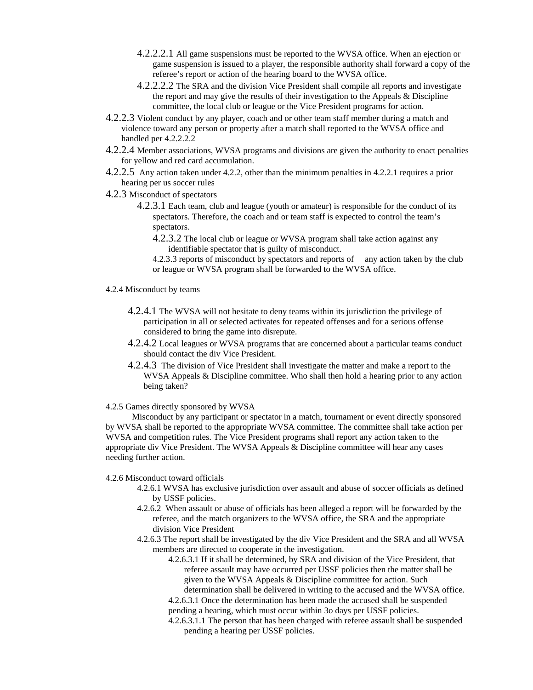- 4.2.2.2.1 All game suspensions must be reported to the WVSA office. When an ejection or game suspension is issued to a player, the responsible authority shall forward a copy of the referee's report or action of the hearing board to the WVSA office.
- 4.2.2.2.2 The SRA and the division Vice President shall compile all reports and investigate the report and may give the results of their investigation to the Appeals  $&$  Discipline committee, the local club or league or the Vice President programs for action.
- 4.2.2.3 Violent conduct by any player, coach and or other team staff member during a match and violence toward any person or property after a match shall reported to the WVSA office and handled per 4.2.2.2.2
- 4.2.2.4 Member associations, WVSA programs and divisions are given the authority to enact penalties for yellow and red card accumulation.
- 4.2.2.5 Any action taken under 4.2.2, other than the minimum penalties in 4.2.2.1 requires a prior hearing per us soccer rules
- 4.2.3 Misconduct of spectators
	- 4.2.3.1 Each team, club and league (youth or amateur) is responsible for the conduct of its spectators. Therefore, the coach and or team staff is expected to control the team's spectators.
		- 4.2.3.2 The local club or league or WVSA program shall take action against any identifiable spectator that is guilty of misconduct.

4.2.3.3 reports of misconduct by spectators and reports of any action taken by the club or league or WVSA program shall be forwarded to the WVSA office.

- 4.2.4 Misconduct by teams
	- 4.2.4.1 The WVSA will not hesitate to deny teams within its jurisdiction the privilege of participation in all or selected activates for repeated offenses and for a serious offense considered to bring the game into disrepute.
	- 4.2.4.2 Local leagues or WVSA programs that are concerned about a particular teams conduct should contact the div Vice President.
	- 4.2.4.3 The division of Vice President shall investigate the matter and make a report to the WVSA Appeals & Discipline committee. Who shall then hold a hearing prior to any action being taken?

4.2.5 Games directly sponsored by WVSA

 Misconduct by any participant or spectator in a match, tournament or event directly sponsored by WVSA shall be reported to the appropriate WVSA committee. The committee shall take action per WVSA and competition rules. The Vice President programs shall report any action taken to the appropriate div Vice President. The WVSA Appeals & Discipline committee will hear any cases needing further action.

### 4.2.6 Misconduct toward officials

- 4.2.6.1 WVSA has exclusive jurisdiction over assault and abuse of soccer officials as defined by USSF policies.
- 4.2.6.2 When assault or abuse of officials has been alleged a report will be forwarded by the referee, and the match organizers to the WVSA office, the SRA and the appropriate division Vice President
- 4.2.6.3 The report shall be investigated by the div Vice President and the SRA and all WVSA members are directed to cooperate in the investigation.
	- 4.2.6.3.1 If it shall be determined, by SRA and division of the Vice President, that referee assault may have occurred per USSF policies then the matter shall be given to the WVSA Appeals & Discipline committee for action. Such determination shall be delivered in writing to the accused and the WVSA office.

4.2.6.3.1 Once the determination has been made the accused shall be suspended pending a hearing, which must occur within 3o days per USSF policies.

4.2.6.3.1.1 The person that has been charged with referee assault shall be suspended pending a hearing per USSF policies.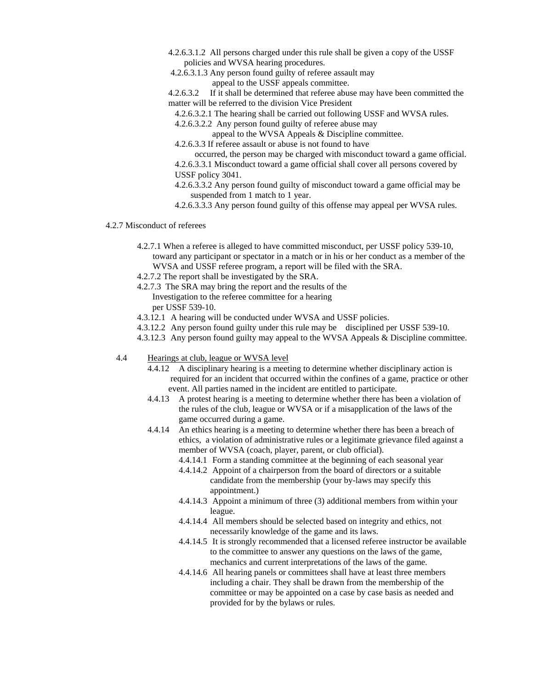- 4.2.6.3.1.2 All persons charged under this rule shall be given a copy of the USSF policies and WVSA hearing procedures.
- 4.2.6.3.1.3 Any person found guilty of referee assault may appeal to the USSF appeals committee.
- 4.2.6.3.2 If it shall be determined that referee abuse may have been committed the matter will be referred to the division Vice President
	- 4.2.6.3.2.1 The hearing shall be carried out following USSF and WVSA rules.
	- 4.2.6.3.2.2 Any person found guilty of referee abuse may
		- appeal to the WVSA Appeals & Discipline committee.
	- 4.2.6.3.3 If referee assault or abuse is not found to have
	- occurred, the person may be charged with misconduct toward a game official.
	- 4.2.6.3.3.1 Misconduct toward a game official shall cover all persons covered by USSF policy 3041.
	- 4.2.6.3.3.2 Any person found guilty of misconduct toward a game official may be suspended from 1 match to 1 year.
	- 4.2.6.3.3.3 Any person found guilty of this offense may appeal per WVSA rules.

#### 4.2.7 Misconduct of referees

- 4.2.7.1 When a referee is alleged to have committed misconduct, per USSF policy 539-10, toward any participant or spectator in a match or in his or her conduct as a member of the WVSA and USSF referee program, a report will be filed with the SRA.
- 4.2.7.2 The report shall be investigated by the SRA.
- 4.2.7.3 The SRA may bring the report and the results of the Investigation to the referee committee for a hearing per USSF 539-10.
- 4.3.12.1 A hearing will be conducted under WVSA and USSF policies.
- 4.3.12.2 Any person found guilty under this rule may be disciplined per USSF 539-10.
- 4.3.12.3 Any person found guilty may appeal to the WVSA Appeals & Discipline committee.
- 4.4 Hearings at club, league or WVSA level
	- 4.4.12 A disciplinary hearing is a meeting to determine whether disciplinary action is required for an incident that occurred within the confines of a game, practice or other event. All parties named in the incident are entitled to participate.
	- 4.4.13 A protest hearing is a meeting to determine whether there has been a violation of the rules of the club, league or WVSA or if a misapplication of the laws of the game occurred during a game.
	- 4.4.14 An ethics hearing is a meeting to determine whether there has been a breach of ethics, a violation of administrative rules or a legitimate grievance filed against a member of WVSA (coach, player, parent, or club official).
		- 4.4.14.1 Form a standing committee at the beginning of each seasonal year
		- 4.4.14.2 Appoint of a chairperson from the board of directors or a suitable candidate from the membership (your by-laws may specify this appointment.)
		- 4.4.14.3 Appoint a minimum of three (3) additional members from within your league.
		- 4.4.14.4 All members should be selected based on integrity and ethics, not necessarily knowledge of the game and its laws.
		- 4.4.14.5 It is strongly recommended that a licensed referee instructor be available to the committee to answer any questions on the laws of the game, mechanics and current interpretations of the laws of the game.
		- 4.4.14.6 All hearing panels or committees shall have at least three members including a chair. They shall be drawn from the membership of the committee or may be appointed on a case by case basis as needed and provided for by the bylaws or rules.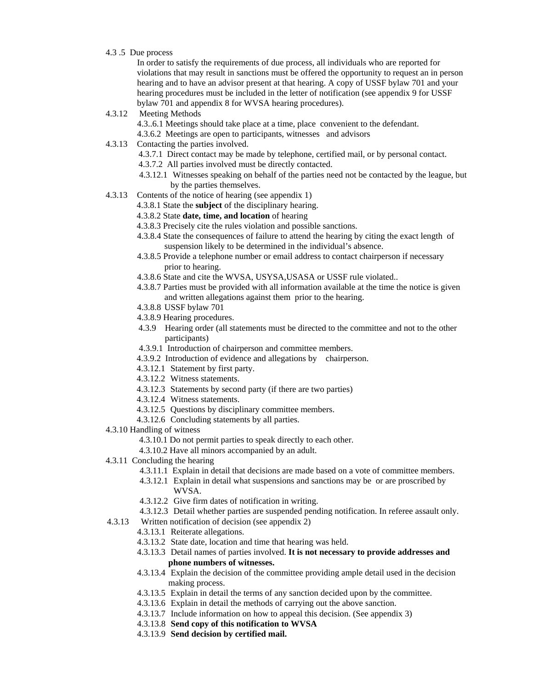4.3 .5 Due process

In order to satisfy the requirements of due process, all individuals who are reported for violations that may result in sanctions must be offered the opportunity to request an in person hearing and to have an advisor present at that hearing. A copy of USSF bylaw 701 and your hearing procedures must be included in the letter of notification (see appendix 9 for USSF bylaw 701 and appendix 8 for WVSA hearing procedures).

4.3.12 Meeting Methods

 4.3..6.1 Meetings should take place at a time, place convenient to the defendant. 4.3.6.2 Meetings are open to participants, witnesses and advisors

- 4.3.13 Contacting the parties involved.
	- 4.3.7.1 Direct contact may be made by telephone, certified mail, or by personal contact.

4.3.7.2 All parties involved must be directly contacted.

- 4.3.12.1 Witnesses speaking on behalf of the parties need not be contacted by the league, but by the parties themselves.
- 4.3.13 Contents of the notice of hearing (see appendix 1)
	- 4.3.8.1 State the **subject** of the disciplinary hearing.
	- 4.3.8.2 State **date, time, and location** of hearing
	- 4.3.8.3 Precisely cite the rules violation and possible sanctions.
	- 4.3.8.4 State the consequences of failure to attend the hearing by citing the exact length of suspension likely to be determined in the individual's absence.
	- 4.3.8.5 Provide a telephone number or email address to contact chairperson if necessary prior to hearing.
	- 4.3.8.6 State and cite the WVSA, USYSA,USASA or USSF rule violated..
	- 4.3.8.7 Parties must be provided with all information available at the time the notice is given and written allegations against them prior to the hearing.
	- 4.3.8.8 USSF bylaw 701
	- 4.3.8.9 Hearing procedures.
	- 4.3.9 Hearing order (all statements must be directed to the committee and not to the other participants)
	- 4.3.9.1 Introduction of chairperson and committee members.
	- 4.3.9.2 Introduction of evidence and allegations by chairperson.
	- 4.3.12.1 Statement by first party.
	- 4.3.12.2 Witness statements.
	- 4.3.12.3 Statements by second party (if there are two parties)
	- 4.3.12.4 Witness statements.
	- 4.3.12.5 Questions by disciplinary committee members.
	- 4.3.12.6 Concluding statements by all parties.
- 4.3.10 Handling of witness
	- 4.3.10.1 Do not permit parties to speak directly to each other.
	- 4.3.10.2 Have all minors accompanied by an adult.
- 4.3.11 Concluding the hearing
	- 4.3.11.1 Explain in detail that decisions are made based on a vote of committee members.
	- 4.3.12.1 Explain in detail what suspensions and sanctions may be or are proscribed by WVSA.
	- 4.3.12.2 Give firm dates of notification in writing.
	- 4.3.12.3 Detail whether parties are suspended pending notification. In referee assault only.
- 4.3.13 Written notification of decision (see appendix 2)
	- 4.3.13.1 Reiterate allegations.
	- 4.3.13.2 State date, location and time that hearing was held.
	- 4.3.13.3 Detail names of parties involved. **It is not necessary to provide addresses and phone numbers of witnesses.**
	- 4.3.13.4 Explain the decision of the committee providing ample detail used in the decision making process.
	- 4.3.13.5 Explain in detail the terms of any sanction decided upon by the committee.
	- 4.3.13.6 Explain in detail the methods of carrying out the above sanction.
	- 4.3.13.7 Include information on how to appeal this decision. (See appendix 3)
	- 4.3.13.8 **Send copy of this notification to WVSA**
	- 4.3.13.9 **Send decision by certified mail.**